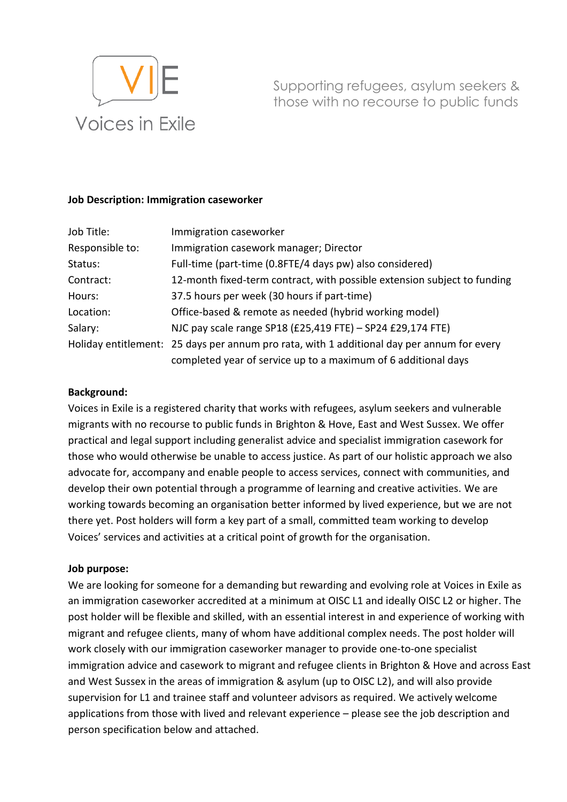

Supporting refugees, asylum seekers & those with no recourse to public funds

## **Job Description: Immigration caseworker**

| Job Title:      | Immigration caseworker                                                                     |  |
|-----------------|--------------------------------------------------------------------------------------------|--|
| Responsible to: | Immigration casework manager; Director                                                     |  |
| Status:         | Full-time (part-time (0.8FTE/4 days pw) also considered)                                   |  |
| Contract:       | 12-month fixed-term contract, with possible extension subject to funding                   |  |
| Hours:          | 37.5 hours per week (30 hours if part-time)                                                |  |
| Location:       | Office-based & remote as needed (hybrid working model)                                     |  |
| Salary:         | NJC pay scale range SP18 (£25,419 FTE) - SP24 £29,174 FTE)                                 |  |
|                 | Holiday entitlement: 25 days per annum pro rata, with 1 additional day per annum for every |  |
|                 | completed year of service up to a maximum of 6 additional days                             |  |

## **Background:**

Voices in Exile is a registered charity that works with refugees, asylum seekers and vulnerable migrants with no recourse to public funds in Brighton & Hove, East and West Sussex. We offer practical and legal support including generalist advice and specialist immigration casework for those who would otherwise be unable to access justice. As part of our holistic approach we also advocate for, accompany and enable people to access services, connect with communities, and develop their own potential through a programme of learning and creative activities. We are working towards becoming an organisation better informed by lived experience, but we are not there yet. Post holders will form a key part of a small, committed team working to develop Voices' services and activities at a critical point of growth for the organisation.

#### **Job purpose:**

We are looking for someone for a demanding but rewarding and evolving role at Voices in Exile as an immigration caseworker accredited at a minimum at OISC L1 and ideally OISC L2 or higher. The post holder will be flexible and skilled, with an essential interest in and experience of working with migrant and refugee clients, many of whom have additional complex needs. The post holder will work closely with our immigration caseworker manager to provide one-to-one specialist immigration advice and casework to migrant and refugee clients in Brighton & Hove and across East and West Sussex in the areas of immigration & asylum (up to OISC L2), and will also provide supervision for L1 and trainee staff and volunteer advisors as required. We actively welcome applications from those with lived and relevant experience – please see the job description and person specification below and attached.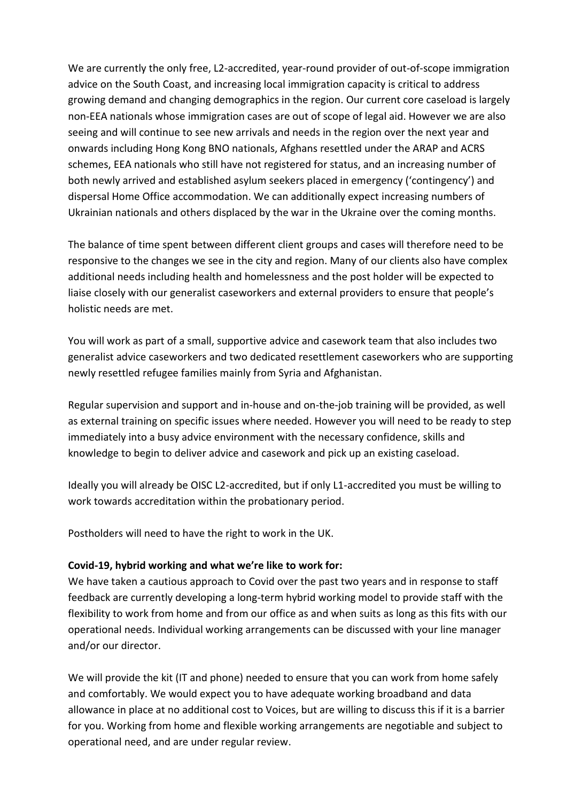We are currently the only free, L2-accredited, year-round provider of out-of-scope immigration advice on the South Coast, and increasing local immigration capacity is critical to address growing demand and changing demographics in the region. Our current core caseload is largely non-EEA nationals whose immigration cases are out of scope of legal aid. However we are also seeing and will continue to see new arrivals and needs in the region over the next year and onwards including Hong Kong BNO nationals, Afghans resettled under the ARAP and ACRS schemes, EEA nationals who still have not registered for status, and an increasing number of both newly arrived and established asylum seekers placed in emergency ('contingency') and dispersal Home Office accommodation. We can additionally expect increasing numbers of Ukrainian nationals and others displaced by the war in the Ukraine over the coming months.

The balance of time spent between different client groups and cases will therefore need to be responsive to the changes we see in the city and region. Many of our clients also have complex additional needs including health and homelessness and the post holder will be expected to liaise closely with our generalist caseworkers and external providers to ensure that people's holistic needs are met.

You will work as part of a small, supportive advice and casework team that also includes two generalist advice caseworkers and two dedicated resettlement caseworkers who are supporting newly resettled refugee families mainly from Syria and Afghanistan.

Regular supervision and support and in-house and on-the-job training will be provided, as well as external training on specific issues where needed. However you will need to be ready to step immediately into a busy advice environment with the necessary confidence, skills and knowledge to begin to deliver advice and casework and pick up an existing caseload.

Ideally you will already be OISC L2-accredited, but if only L1-accredited you must be willing to work towards accreditation within the probationary period.

Postholders will need to have the right to work in the UK.

## **Covid-19, hybrid working and what we're like to work for:**

We have taken a cautious approach to Covid over the past two years and in response to staff feedback are currently developing a long-term hybrid working model to provide staff with the flexibility to work from home and from our office as and when suits as long as this fits with our operational needs. Individual working arrangements can be discussed with your line manager and/or our director.

We will provide the kit (IT and phone) needed to ensure that you can work from home safely and comfortably. We would expect you to have adequate working broadband and data allowance in place at no additional cost to Voices, but are willing to discuss this if it is a barrier for you. Working from home and flexible working arrangements are negotiable and subject to operational need, and are under regular review.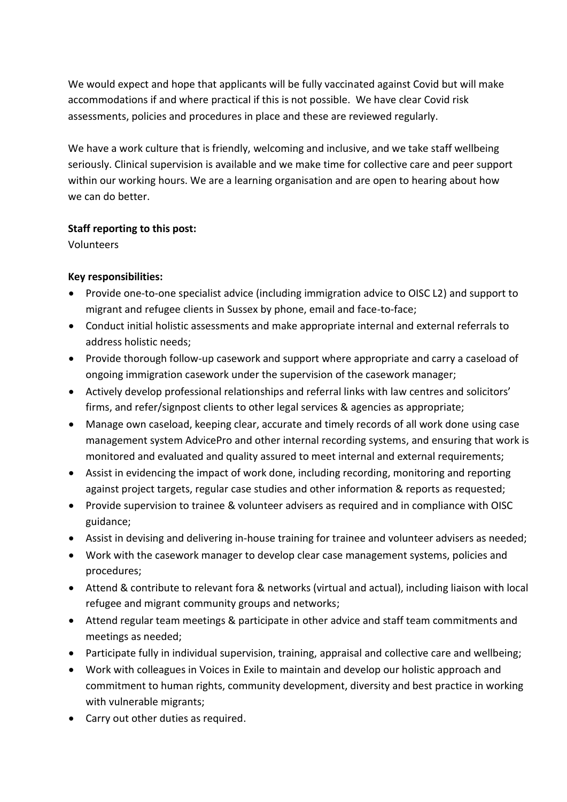We would expect and hope that applicants will be fully vaccinated against Covid but will make accommodations if and where practical if this is not possible. We have clear Covid risk assessments, policies and procedures in place and these are reviewed regularly.

We have a work culture that is friendly, welcoming and inclusive, and we take staff wellbeing seriously. Clinical supervision is available and we make time for collective care and peer support within our working hours. We are a learning organisation and are open to hearing about how we can do better.

# **Staff reporting to this post:**

Volunteers

# **Key responsibilities:**

- Provide one-to-one specialist advice (including immigration advice to OISC L2) and support to migrant and refugee clients in Sussex by phone, email and face-to-face;
- Conduct initial holistic assessments and make appropriate internal and external referrals to address holistic needs;
- Provide thorough follow-up casework and support where appropriate and carry a caseload of ongoing immigration casework under the supervision of the casework manager;
- Actively develop professional relationships and referral links with law centres and solicitors' firms, and refer/signpost clients to other legal services & agencies as appropriate;
- Manage own caseload, keeping clear, accurate and timely records of all work done using case management system AdvicePro and other internal recording systems, and ensuring that work is monitored and evaluated and quality assured to meet internal and external requirements;
- Assist in evidencing the impact of work done, including recording, monitoring and reporting against project targets, regular case studies and other information & reports as requested;
- Provide supervision to trainee & volunteer advisers as required and in compliance with OISC guidance;
- Assist in devising and delivering in-house training for trainee and volunteer advisers as needed;
- Work with the casework manager to develop clear case management systems, policies and procedures;
- Attend & contribute to relevant fora & networks (virtual and actual), including liaison with local refugee and migrant community groups and networks;
- Attend regular team meetings & participate in other advice and staff team commitments and meetings as needed;
- Participate fully in individual supervision, training, appraisal and collective care and wellbeing;
- Work with colleagues in Voices in Exile to maintain and develop our holistic approach and commitment to human rights, community development, diversity and best practice in working with vulnerable migrants;
- Carry out other duties as required.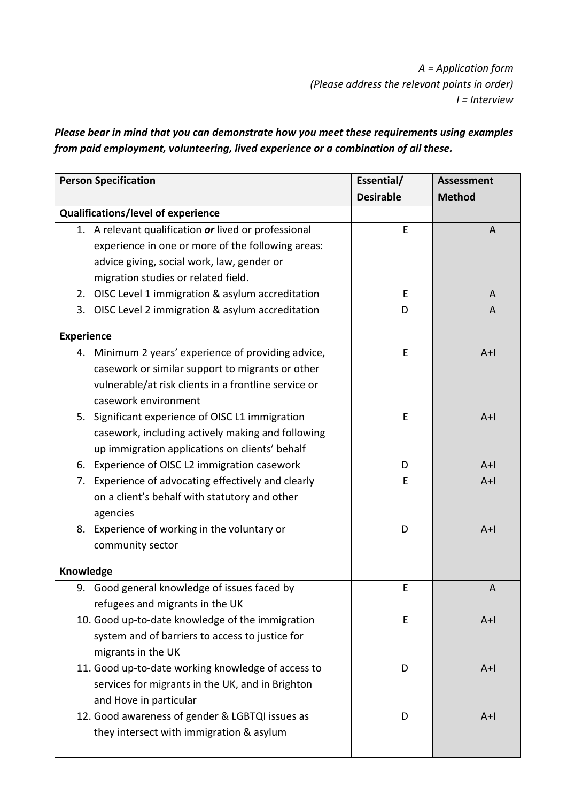*A = Application form (Please address the relevant points in order) I = Interview* 

*Please bear in mind that you can demonstrate how you meet these requirements using examples from paid employment, volunteering, lived experience or a combination of all these.* 

| <b>Person Specification</b> |                                                      | Essential/       | <b>Assessment</b> |
|-----------------------------|------------------------------------------------------|------------------|-------------------|
|                             |                                                      | <b>Desirable</b> | <b>Method</b>     |
|                             | Qualifications/level of experience                   |                  |                   |
|                             | 1. A relevant qualification or lived or professional | E                | A                 |
|                             | experience in one or more of the following areas:    |                  |                   |
|                             | advice giving, social work, law, gender or           |                  |                   |
|                             | migration studies or related field.                  |                  |                   |
|                             | 2. OISC Level 1 immigration & asylum accreditation   | E                | A                 |
| 3.                          | OISC Level 2 immigration & asylum accreditation      | D                | A                 |
|                             | <b>Experience</b>                                    |                  |                   |
|                             | 4. Minimum 2 years' experience of providing advice,  | E                | $A+I$             |
|                             | casework or similar support to migrants or other     |                  |                   |
|                             | vulnerable/at risk clients in a frontline service or |                  |                   |
|                             | casework environment                                 |                  |                   |
|                             | 5. Significant experience of OISC L1 immigration     | E                | $A+$              |
|                             | casework, including actively making and following    |                  |                   |
|                             | up immigration applications on clients' behalf       |                  |                   |
| 6.                          | Experience of OISC L2 immigration casework           | D                | $A+I$             |
| 7.                          | Experience of advocating effectively and clearly     | E                | $A+$              |
|                             | on a client's behalf with statutory and other        |                  |                   |
|                             | agencies                                             |                  |                   |
| 8.                          | Experience of working in the voluntary or            | D                | $A+$              |
|                             | community sector                                     |                  |                   |
| Knowledge                   |                                                      |                  |                   |
|                             | 9. Good general knowledge of issues faced by         | E                | $\overline{A}$    |
|                             | refugees and migrants in the UK                      |                  |                   |
|                             | 10. Good up-to-date knowledge of the immigration     | E                | $A+$              |
|                             | system and of barriers to access to justice for      |                  |                   |
|                             | migrants in the UK                                   |                  |                   |
|                             | 11. Good up-to-date working knowledge of access to   | D                | $A+$              |
|                             | services for migrants in the UK, and in Brighton     |                  |                   |
|                             | and Hove in particular                               |                  |                   |
|                             | 12. Good awareness of gender & LGBTQI issues as      | D                | $A+$              |
|                             | they intersect with immigration & asylum             |                  |                   |
|                             |                                                      |                  |                   |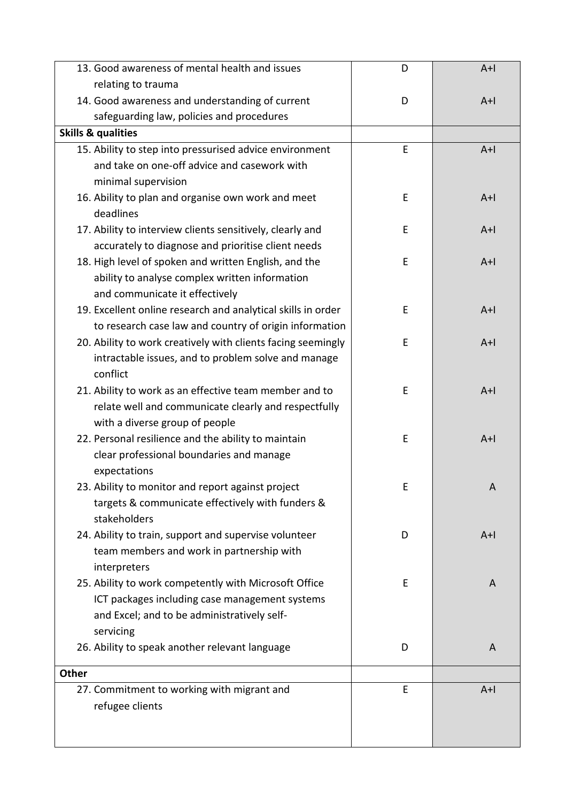| 13. Good awareness of mental health and issues               | D | $A+I$          |
|--------------------------------------------------------------|---|----------------|
| relating to trauma                                           |   |                |
| 14. Good awareness and understanding of current              | D | $A+I$          |
| safeguarding law, policies and procedures                    |   |                |
| <b>Skills &amp; qualities</b>                                |   |                |
| 15. Ability to step into pressurised advice environment      | E | $A+I$          |
| and take on one-off advice and casework with                 |   |                |
| minimal supervision                                          |   |                |
| 16. Ability to plan and organise own work and meet           | Е | $A+I$          |
| deadlines                                                    |   |                |
| 17. Ability to interview clients sensitively, clearly and    | E | $A+1$          |
| accurately to diagnose and prioritise client needs           |   |                |
| 18. High level of spoken and written English, and the        | E | $A+I$          |
| ability to analyse complex written information               |   |                |
| and communicate it effectively                               |   |                |
| 19. Excellent online research and analytical skills in order | E | $A+I$          |
| to research case law and country of origin information       |   |                |
| 20. Ability to work creatively with clients facing seemingly | E | $A+I$          |
| intractable issues, and to problem solve and manage          |   |                |
| conflict                                                     |   |                |
| 21. Ability to work as an effective team member and to       | E | $A+I$          |
| relate well and communicate clearly and respectfully         |   |                |
| with a diverse group of people                               |   |                |
| 22. Personal resilience and the ability to maintain          | Е | $A+I$          |
| clear professional boundaries and manage                     |   |                |
| expectations                                                 |   |                |
| 23. Ability to monitor and report against project            | E | A              |
| targets & communicate effectively with funders &             |   |                |
| stakeholders                                                 |   |                |
| 24. Ability to train, support and supervise volunteer        | D | $A+I$          |
| team members and work in partnership with                    |   |                |
| interpreters                                                 |   |                |
| 25. Ability to work competently with Microsoft Office        | E | A              |
| ICT packages including case management systems               |   |                |
| and Excel; and to be administratively self-                  |   |                |
| servicing                                                    |   |                |
| 26. Ability to speak another relevant language               | D | $\overline{A}$ |
| Other                                                        |   |                |
| 27. Commitment to working with migrant and                   | E | $A+I$          |
| refugee clients                                              |   |                |
|                                                              |   |                |
|                                                              |   |                |
|                                                              |   |                |